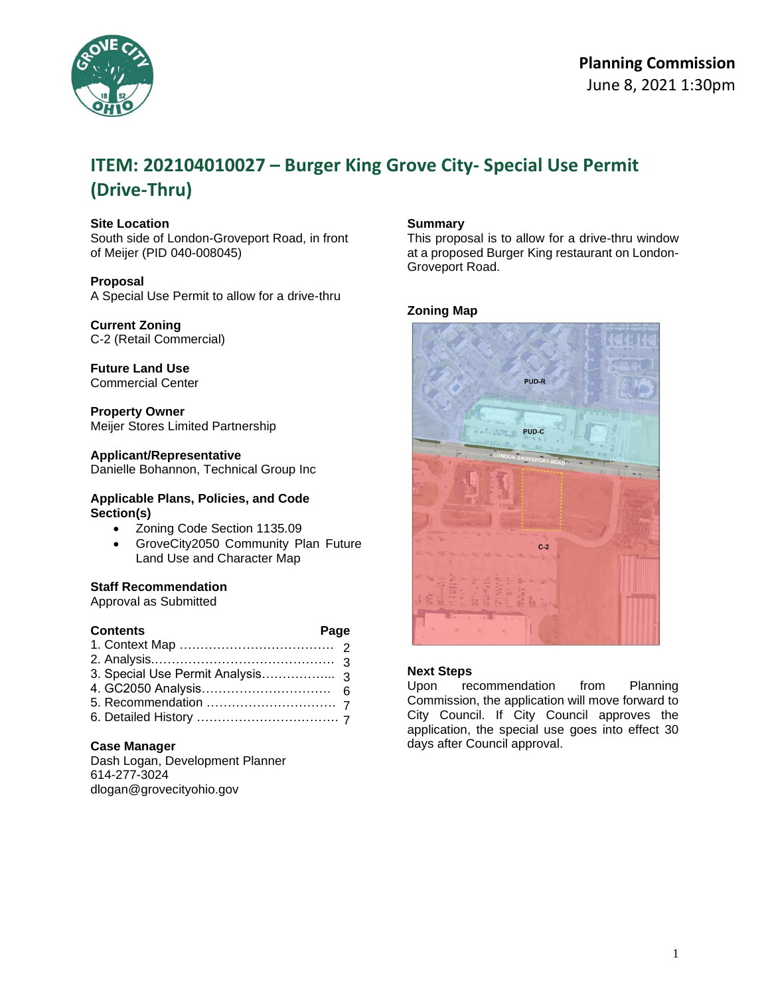

# **ITEM: 202104010027 – Burger King Grove City- Special Use Permit (Drive-Thru)**

# **Site Location**

South side of London-Groveport Road, in front of Meijer (PID 040-008045)

#### **Proposal**

A Special Use Permit to allow for a drive-thru

### **Current Zoning**

C-2 (Retail Commercial)

# **Future Land Use**

Commercial Center

**Property Owner** Meijer Stores Limited Partnership

# **Applicant/Representative**

Danielle Bohannon, Technical Group Inc

#### **Applicable Plans, Policies, and Code Section(s)**

- Zoning Code Section 1135.09
- GroveCity2050 Community Plan Future Land Use and Character Map

### **Staff Recommendation**

Approval as Submitted

| <b>Contents</b> | Page |  |
|-----------------|------|--|
|                 |      |  |
|                 |      |  |
|                 |      |  |
|                 |      |  |
|                 |      |  |
|                 |      |  |

### **Case Manager**

Dash Logan, Development Planner 614-277-3024 dlogan@grovecityohio.gov

### **Summary**

This proposal is to allow for a drive-thru window at a proposed Burger King restaurant on London-Groveport Road.

# **Zoning Map**



# **Next Steps**

Upon recommendation from Planning Commission, the application will move forward to City Council. If City Council approves the application, the special use goes into effect 30 days after Council approval.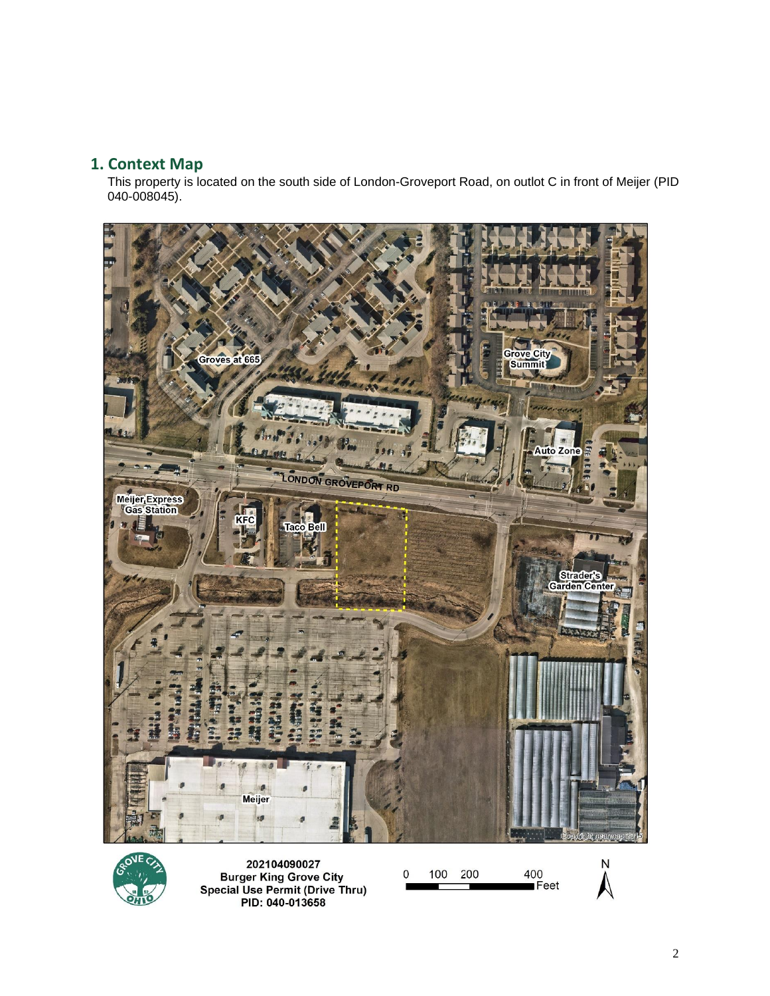# **1. Context Map**

This property is located on the south side of London-Groveport Road, on outlot C in front of Meijer (PID 040-008045).





202104090027 **EXECUTE:**<br>Burger King Grove City<br>Special Use Permit (Drive Thru)<br>PID: 040-013658

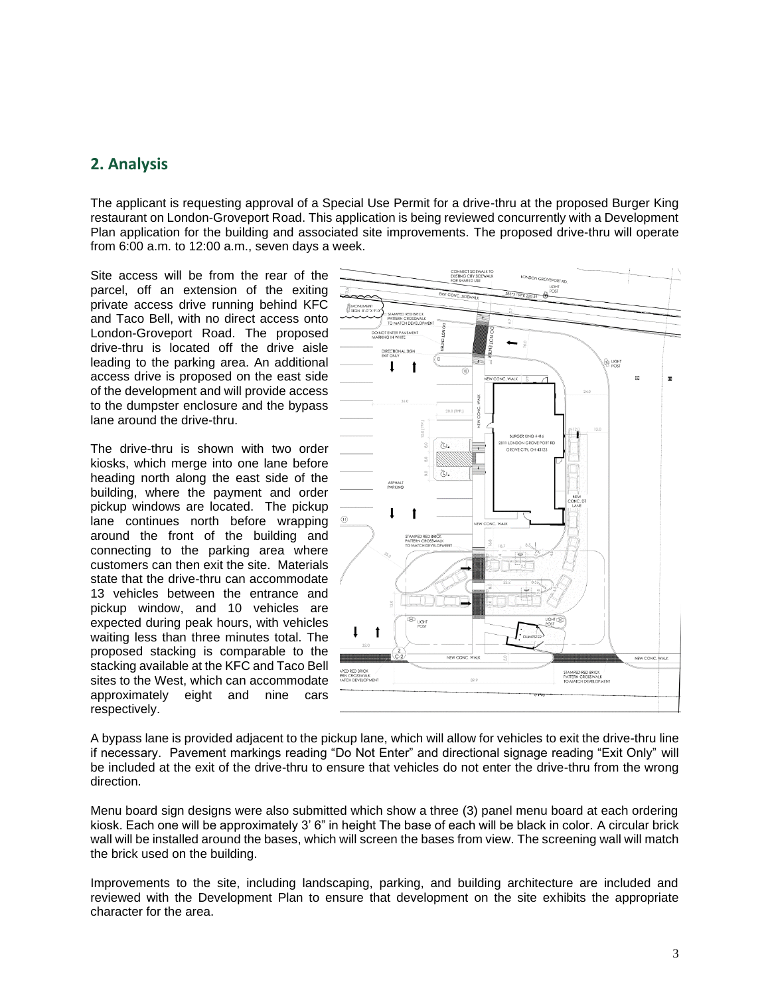# **2. Analysis**

The applicant is requesting approval of a Special Use Permit for a drive-thru at the proposed Burger King restaurant on London-Groveport Road. This application is being reviewed concurrently with a Development Plan application for the building and associated site improvements. The proposed drive-thru will operate from 6:00 a.m. to 12:00 a.m., seven days a week.

Site access will be from the rear of the parcel, off an extension of the exiting private access drive running behind KFC and Taco Bell, with no direct access onto London-Groveport Road. The proposed drive-thru is located off the drive aisle leading to the parking area. An additional access drive is proposed on the east side of the development and will provide access to the dumpster enclosure and the bypass lane around the drive-thru.

The drive-thru is shown with two order kiosks, which merge into one lane before heading north along the east side of the building, where the payment and order pickup windows are located. The pickup lane continues north before wrapping around the front of the building and connecting to the parking area where customers can then exit the site. Materials state that the drive-thru can accommodate 13 vehicles between the entrance and pickup window, and 10 vehicles are expected during peak hours, with vehicles waiting less than three minutes total. The proposed stacking is comparable to the stacking available at the KFC and Taco Bell sites to the West, which can accommodate approximately eight and nine cars respectively.



A bypass lane is provided adjacent to the pickup lane, which will allow for vehicles to exit the drive-thru line if necessary. Pavement markings reading "Do Not Enter" and directional signage reading "Exit Only" will be included at the exit of the drive-thru to ensure that vehicles do not enter the drive-thru from the wrong direction.

Menu board sign designs were also submitted which show a three (3) panel menu board at each ordering kiosk. Each one will be approximately 3' 6" in height The base of each will be black in color. A circular brick wall will be installed around the bases, which will screen the bases from view. The screening wall will match the brick used on the building.

Improvements to the site, including landscaping, parking, and building architecture are included and reviewed with the Development Plan to ensure that development on the site exhibits the appropriate character for the area.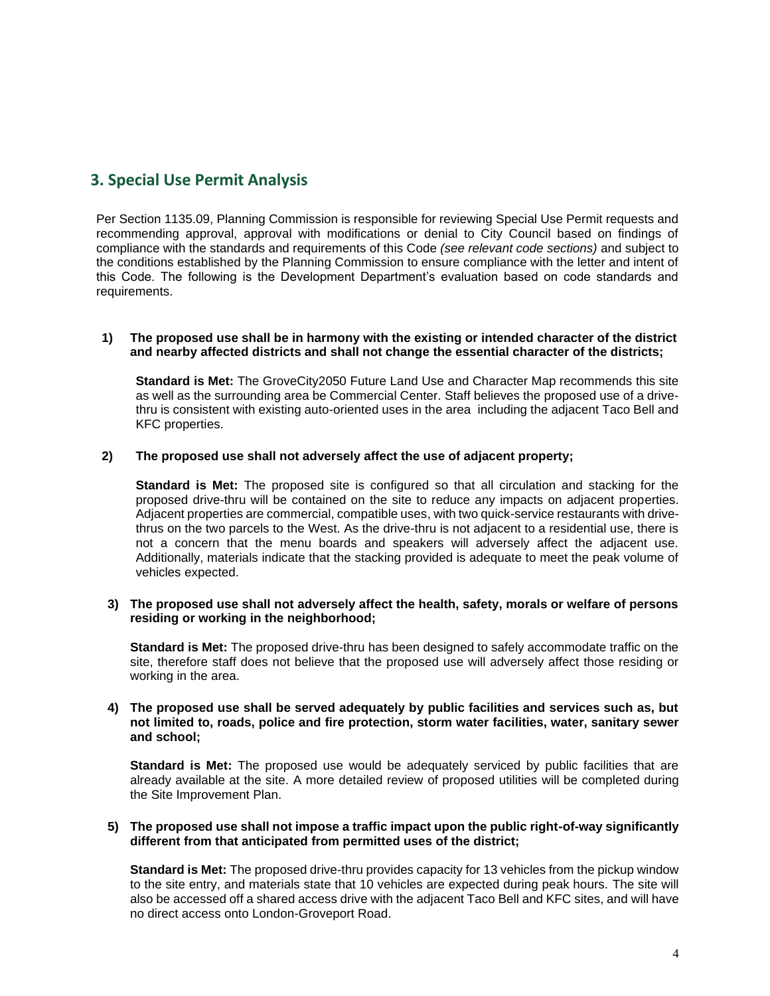# **3. Special Use Permit Analysis**

Per Section 1135.09, Planning Commission is responsible for reviewing Special Use Permit requests and recommending approval, approval with modifications or denial to City Council based on findings of compliance with the standards and requirements of this Code *(see relevant code sections)* and subject to the conditions established by the Planning Commission to ensure compliance with the letter and intent of this Code. The following is the Development Department's evaluation based on code standards and requirements.

#### **1) The proposed use shall be in harmony with the existing or intended character of the district and nearby affected districts and shall not change the essential character of the districts;**

**Standard is Met:** The GroveCity2050 Future Land Use and Character Map recommends this site as well as the surrounding area be Commercial Center. Staff believes the proposed use of a drivethru is consistent with existing auto-oriented uses in the area including the adjacent Taco Bell and KFC properties.

## **2) The proposed use shall not adversely affect the use of adjacent property;**

**Standard is Met:** The proposed site is configured so that all circulation and stacking for the proposed drive-thru will be contained on the site to reduce any impacts on adjacent properties. Adjacent properties are commercial, compatible uses, with two quick-service restaurants with drivethrus on the two parcels to the West. As the drive-thru is not adjacent to a residential use, there is not a concern that the menu boards and speakers will adversely affect the adjacent use. Additionally, materials indicate that the stacking provided is adequate to meet the peak volume of vehicles expected.

#### **3) The proposed use shall not adversely affect the health, safety, morals or welfare of persons residing or working in the neighborhood;**

**Standard is Met:** The proposed drive-thru has been designed to safely accommodate traffic on the site, therefore staff does not believe that the proposed use will adversely affect those residing or working in the area.

#### **4) The proposed use shall be served adequately by public facilities and services such as, but not limited to, roads, police and fire protection, storm water facilities, water, sanitary sewer and school;**

**Standard is Met:** The proposed use would be adequately serviced by public facilities that are already available at the site. A more detailed review of proposed utilities will be completed during the Site Improvement Plan.

#### **5) The proposed use shall not impose a traffic impact upon the public right-of-way significantly different from that anticipated from permitted uses of the district;**

**Standard is Met:** The proposed drive-thru provides capacity for 13 vehicles from the pickup window to the site entry, and materials state that 10 vehicles are expected during peak hours. The site will also be accessed off a shared access drive with the adjacent Taco Bell and KFC sites, and will have no direct access onto London-Groveport Road.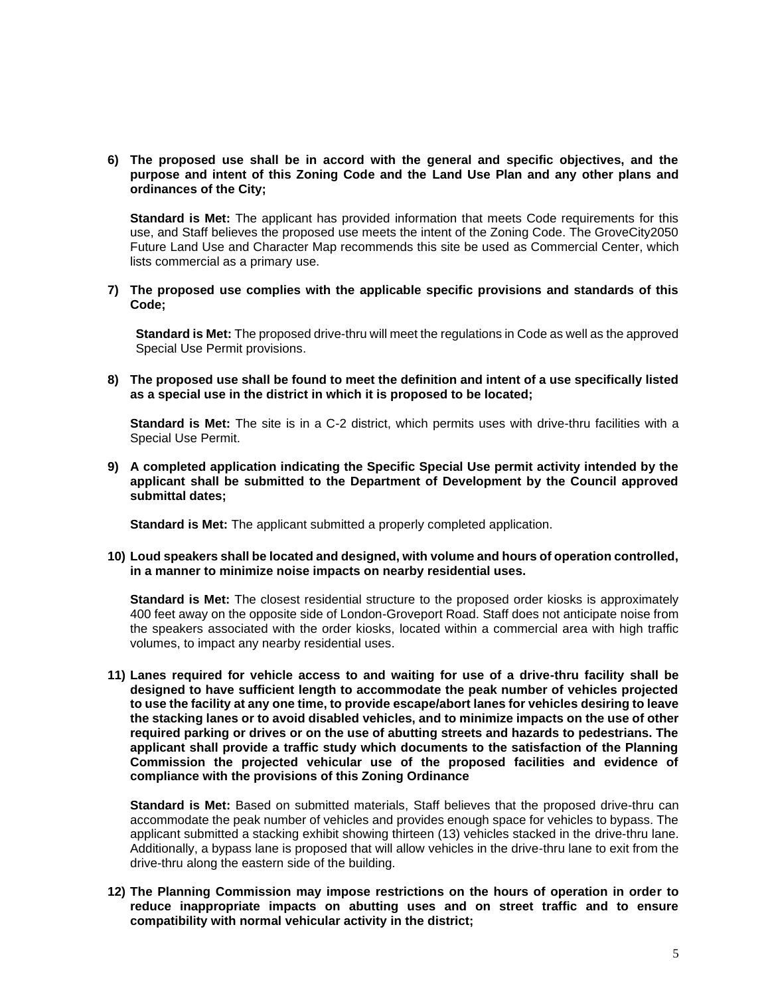### **6) The proposed use shall be in accord with the general and specific objectives, and the purpose and intent of this Zoning Code and the Land Use Plan and any other plans and ordinances of the City;**

**Standard is Met:** The applicant has provided information that meets Code requirements for this use, and Staff believes the proposed use meets the intent of the Zoning Code. The GroveCity2050 Future Land Use and Character Map recommends this site be used as Commercial Center, which lists commercial as a primary use.

**7) The proposed use complies with the applicable specific provisions and standards of this Code;**

**Standard is Met:** The proposed drive-thru will meet the regulations in Code as well as the approved Special Use Permit provisions.

**8) The proposed use shall be found to meet the definition and intent of a use specifically listed as a special use in the district in which it is proposed to be located;** 

**Standard is Met:** The site is in a C-2 district, which permits uses with drive-thru facilities with a Special Use Permit.

**9) A completed application indicating the Specific Special Use permit activity intended by the applicant shall be submitted to the Department of Development by the Council approved submittal dates;** 

**Standard is Met:** The applicant submitted a properly completed application.

**10) Loud speakers shall be located and designed, with volume and hours of operation controlled, in a manner to minimize noise impacts on nearby residential uses.** 

**Standard is Met:** The closest residential structure to the proposed order kiosks is approximately 400 feet away on the opposite side of London-Groveport Road. Staff does not anticipate noise from the speakers associated with the order kiosks, located within a commercial area with high traffic volumes, to impact any nearby residential uses.

**11) Lanes required for vehicle access to and waiting for use of a drive-thru facility shall be designed to have sufficient length to accommodate the peak number of vehicles projected to use the facility at any one time, to provide escape/abort lanes for vehicles desiring to leave the stacking lanes or to avoid disabled vehicles, and to minimize impacts on the use of other required parking or drives or on the use of abutting streets and hazards to pedestrians. The applicant shall provide a traffic study which documents to the satisfaction of the Planning Commission the projected vehicular use of the proposed facilities and evidence of compliance with the provisions of this Zoning Ordinance** 

**Standard is Met:** Based on submitted materials, Staff believes that the proposed drive-thru can accommodate the peak number of vehicles and provides enough space for vehicles to bypass. The applicant submitted a stacking exhibit showing thirteen (13) vehicles stacked in the drive-thru lane. Additionally, a bypass lane is proposed that will allow vehicles in the drive-thru lane to exit from the drive-thru along the eastern side of the building.

**12) The Planning Commission may impose restrictions on the hours of operation in order to reduce inappropriate impacts on abutting uses and on street traffic and to ensure compatibility with normal vehicular activity in the district;**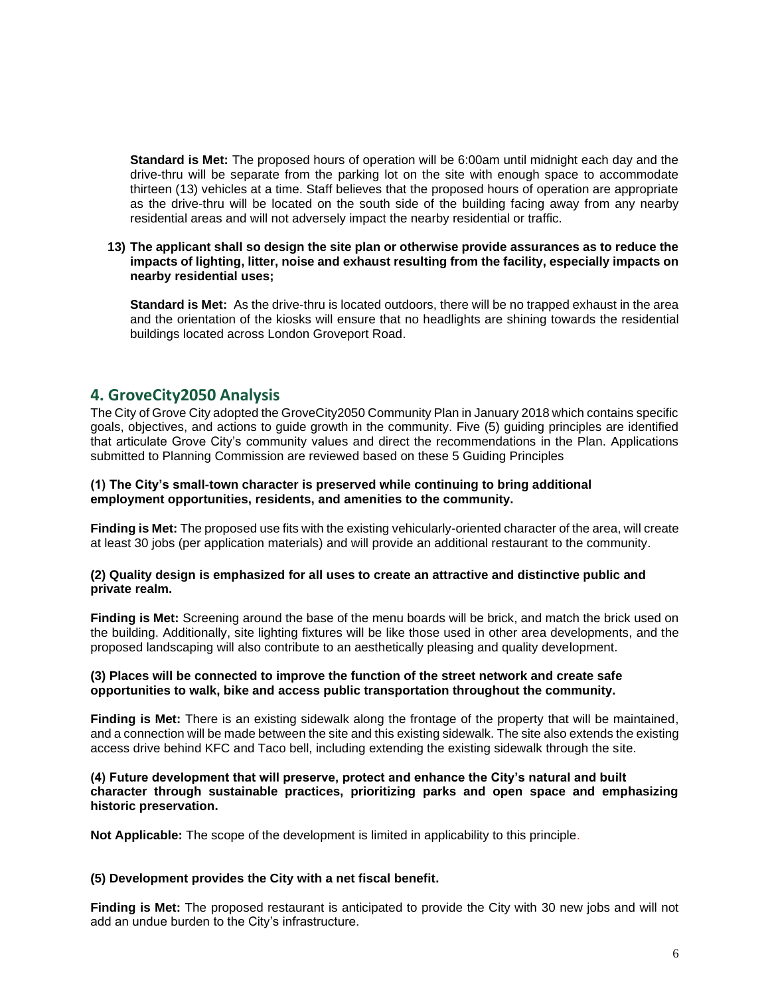**Standard is Met:** The proposed hours of operation will be 6:00am until midnight each day and the drive-thru will be separate from the parking lot on the site with enough space to accommodate thirteen (13) vehicles at a time. Staff believes that the proposed hours of operation are appropriate as the drive-thru will be located on the south side of the building facing away from any nearby residential areas and will not adversely impact the nearby residential or traffic.

**13) The applicant shall so design the site plan or otherwise provide assurances as to reduce the impacts of lighting, litter, noise and exhaust resulting from the facility, especially impacts on nearby residential uses;**

**Standard is Met:** As the drive-thru is located outdoors, there will be no trapped exhaust in the area and the orientation of the kiosks will ensure that no headlights are shining towards the residential buildings located across London Groveport Road.

# **4. GroveCity2050 Analysis**

The City of Grove City adopted the GroveCity2050 Community Plan in January 2018 which contains specific goals, objectives, and actions to guide growth in the community. Five (5) guiding principles are identified that articulate Grove City's community values and direct the recommendations in the Plan. Applications submitted to Planning Commission are reviewed based on these 5 Guiding Principles

#### **(1) The City's small-town character is preserved while continuing to bring additional employment opportunities, residents, and amenities to the community.**

**Finding is Met:** The proposed use fits with the existing vehicularly-oriented character of the area, will create at least 30 jobs (per application materials) and will provide an additional restaurant to the community.

#### **(2) Quality design is emphasized for all uses to create an attractive and distinctive public and private realm.**

**Finding is Met:** Screening around the base of the menu boards will be brick, and match the brick used on the building. Additionally, site lighting fixtures will be like those used in other area developments, and the proposed landscaping will also contribute to an aesthetically pleasing and quality development.

### **(3) Places will be connected to improve the function of the street network and create safe opportunities to walk, bike and access public transportation throughout the community.**

**Finding is Met:** There is an existing sidewalk along the frontage of the property that will be maintained, and a connection will be made between the site and this existing sidewalk. The site also extends the existing access drive behind KFC and Taco bell, including extending the existing sidewalk through the site.

#### **(4) Future development that will preserve, protect and enhance the City's natural and built character through sustainable practices, prioritizing parks and open space and emphasizing historic preservation.**

**Not Applicable:** The scope of the development is limited in applicability to this principle.

### **(5) Development provides the City with a net fiscal benefit.**

**Finding is Met:** The proposed restaurant is anticipated to provide the City with 30 new jobs and will not add an undue burden to the City's infrastructure.